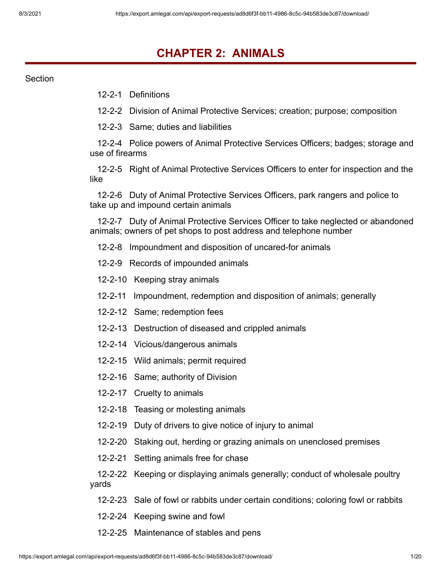# **CHAPTER 2: ANIMALS**

Section

12-2-1 Definitions

12-2-2 Division of Animal Protective Services; creation; purpose; composition

12-2-3 Same; duties and liabilities

12-2-4 Police powers of Animal Protective Services Officers; badges; storage and use of firearms

12-2-5 Right of Animal Protective Services Officers to enter for inspection and the like

12-2-6 Duty of Animal Protective Services Officers, park rangers and police to take up and impound certain animals

12-2-7 Duty of Animal Protective Services Officer to take neglected or abandoned animals; owners of pet shops to post address and telephone number

- 12-2-8 Impoundment and disposition of uncared-for animals
- 12-2-9 Records of impounded animals
- 12-2-10 Keeping stray animals
- 12-2-11 Impoundment, redemption and disposition of animals; generally
- 12-2-12 Same; redemption fees
- 12-2-13 Destruction of diseased and crippled animals
- 12-2-14 Vicious/dangerous animals
- 12-2-15 Wild animals; permit required
- 12-2-16 Same; authority of Division
- 12-2-17 Cruelty to animals
- 12-2-18 Teasing or molesting animals
- 12-2-19 Duty of drivers to give notice of injury to animal
- 12-2-20 Staking out, herding or grazing animals on unenclosed premises
- 12-2-21 Setting animals free for chase

12-2-22 Keeping or displaying animals generally; conduct of wholesale poultry yards

- 12-2-23 Sale of fowl or rabbits under certain conditions; coloring fowl or rabbits
- 12-2-24 Keeping swine and fowl
- 12-2-25 Maintenance of stables and pens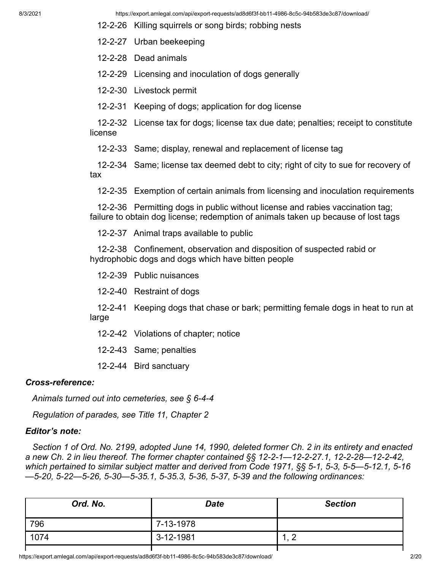- 12-2-26 Killing squirrels or song birds; robbing nests
- 12-2-27 Urban beekeeping
- 12-2-28 Dead animals
- 12-2-29 Licensing and inoculation of dogs generally
- 12-2-30 Livestock permit
- 12-2-31 Keeping of dogs; application for dog license

12-2-32 License tax for dogs; license tax due date; penalties; receipt to constitute license

12-2-33 Same; display, renewal and replacement of license tag

12-2-34 Same; license tax deemed debt to city; right of city to sue for recovery of tax

12-2-35 Exemption of certain animals from licensing and inoculation requirements

12-2-36 Permitting dogs in public without license and rabies vaccination tag; failure to obtain dog license; redemption of animals taken up because of lost tags

12-2-37 Animal traps available to public

12-2-38 Confinement, observation and disposition of suspected rabid or hydrophobic dogs and dogs which have bitten people

- 12-2-39 Public nuisances
- 12-2-40 Restraint of dogs

12-2-41 Keeping dogs that chase or bark; permitting female dogs in heat to run at large

- 12-2-42 Violations of chapter; notice
- 12-2-43 Same; penalties
- 12-2-44 Bird sanctuary

#### *Cross-reference:*

*Animals turned out into cemeteries, see § 6-4-4*

*Regulation of parades, see Title 11, Chapter 2*

#### *Editor's note:*

*Section 1 of Ord. No. 2199, adopted June 14, 1990, deleted former Ch. 2 in its entirety and enacted a new Ch. 2 in lieu thereof. The former chapter contained §§ 12-2-1—12-2-27.1, 12-2-28—12-2-42, which pertained to similar subject matter and derived from Code 1971, §§ 5-1, 5-3, 5-5—5-12.1, 5-16 —5-20, 5-22—5-26, 5-30—5-35.1, 5-35.3, 5-36, 5-37, 5-39 and the following ordinances:*

| Ord. No. | <b>Date</b>     | <b>Section</b>                 |
|----------|-----------------|--------------------------------|
| 796      | $7 - 13 - 1978$ |                                |
| 1074     | $3 - 12 - 1981$ | $\sqrt{2}$<br>$\cdot$ , $\sim$ |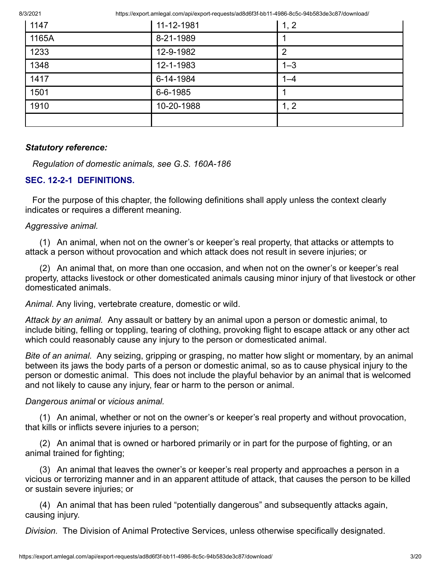8/3/2021 https://export.amlegal.com/api/export-requests/ad8d6f3f-bb11-4986-8c5c-94b583de3c87/download/

| 1147  | 11-12-1981 | 1, 2    |
|-------|------------|---------|
| 1165A | 8-21-1989  |         |
| 1233  | 12-9-1982  | 2       |
| 1348  | 12-1-1983  | $1 - 3$ |
| 1417  | 6-14-1984  | $1 - 4$ |
| 1501  | 6-6-1985   |         |
| 1910  | 10-20-1988 | 1, 2    |
|       |            |         |

### *Statutory reference:*

*Regulation of domestic animals, see G.S. 160A-186*

# **SEC. 12-2-1 DEFINITIONS.**

For the purpose of this chapter, the following definitions shall apply unless the context clearly indicates or requires a different meaning.

#### *Aggressive animal.*

(1) An animal, when not on the owner's or keeper's real property, that attacks or attempts to attack a person without provocation and which attack does not result in severe injuries; or

(2) An animal that, on more than one occasion, and when not on the owner's or keeper's real property, attacks livestock or other domesticated animals causing minor injury of that livestock or other domesticated animals.

*Animal.* Any living, vertebrate creature, domestic or wild.

*Attack by an animal.* Any assault or battery by an animal upon a person or domestic animal, to include biting, felling or toppling, tearing of clothing, provoking flight to escape attack or any other act which could reasonably cause any injury to the person or domesticated animal.

*Bite of an animal.* Any seizing, gripping or grasping, no matter how slight or momentary, by an animal between its jaws the body parts of a person or domestic animal, so as to cause physical injury to the person or domestic animal. This does not include the playful behavior by an animal that is welcomed and not likely to cause any injury, fear or harm to the person or animal.

#### *Dangerous animal* or *vicious animal.*

(1) An animal, whether or not on the owner's or keeper's real property and without provocation, that kills or inflicts severe injuries to a person;

(2) An animal that is owned or harbored primarily or in part for the purpose of fighting, or an animal trained for fighting;

(3) An animal that leaves the owner's or keeper's real property and approaches a person in a vicious or terrorizing manner and in an apparent attitude of attack, that causes the person to be killed or sustain severe injuries; or

(4) An animal that has been ruled "potentially dangerous" and subsequently attacks again, causing injury.

*Division.* The Division of Animal Protective Services, unless otherwise specifically designated.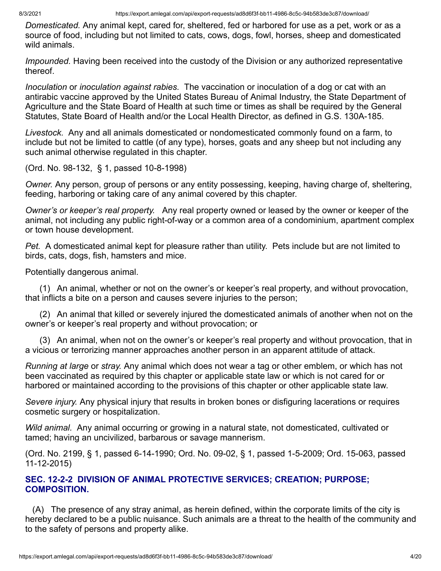*Domesticated.* Any animal kept, cared for, sheltered, fed or harbored for use as a pet, work or as a source of food, including but not limited to cats, cows, dogs, fowl, horses, sheep and domesticated wild animals.

*Impounded.* Having been received into the custody of the Division or any authorized representative thereof.

*Inoculation* or *inoculation against rabies.* The vaccination or inoculation of a dog or cat with an antirabic vaccine approved by the United States Bureau of Animal Industry, the State Department of Agriculture and the State Board of Health at such time or times as shall be required by the General Statutes, State Board of Health and/or the Local Health Director, as defined in G.S. 130A-185.

*Livestock.* Any and all animals domesticated or nondomesticated commonly found on a farm, to include but not be limited to cattle (of any type), horses, goats and any sheep but not including any such animal otherwise regulated in this chapter.

(Ord. No. 98-132, § 1, passed 10-8-1998)

*Owner.* Any person, group of persons or any entity possessing, keeping, having charge of, sheltering, feeding, harboring or taking care of any animal covered by this chapter.

*Owner's or keeper's real property.* Any real property owned or leased by the owner or keeper of the animal, not including any public right-of-way or a common area of a condominium, apartment complex or town house development.

*Pet.* A domesticated animal kept for pleasure rather than utility. Pets include but are not limited to birds, cats, dogs, fish, hamsters and mice.

Potentially dangerous animal.

(1) An animal, whether or not on the owner's or keeper's real property, and without provocation, that inflicts a bite on a person and causes severe injuries to the person;

(2) An animal that killed or severely injured the domesticated animals of another when not on the owner's or keeper's real property and without provocation; or

(3) An animal, when not on the owner's or keeper's real property and without provocation, that in a vicious or terrorizing manner approaches another person in an apparent attitude of attack.

*Running at large* or *stray.* Any animal which does not wear a tag or other emblem, or which has not been vaccinated as required by this chapter or applicable state law or which is not cared for or harbored or maintained according to the provisions of this chapter or other applicable state law.

*Severe injury.* Any physical injury that results in broken bones or disfiguring lacerations or requires cosmetic surgery or hospitalization.

*Wild animal.* Any animal occurring or growing in a natural state, not domesticated, cultivated or tamed; having an uncivilized, barbarous or savage mannerism.

(Ord. No. 2199, § 1, passed 6-14-1990; Ord. No. 09-02, § 1, passed 1-5-2009; Ord. 15-063, passed 11-12-2015)

#### **SEC. 12-2-2 DIVISION OF ANIMAL PROTECTIVE SERVICES; CREATION; PURPOSE; COMPOSITION.**

(A) The presence of any stray animal, as herein defined, within the corporate limits of the city is hereby declared to be a public nuisance. Such animals are a threat to the health of the community and to the safety of persons and property alike.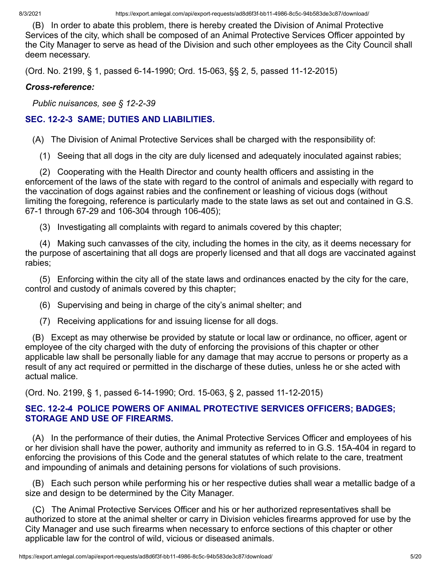(B) In order to abate this problem, there is hereby created the Division of Animal Protective Services of the city, which shall be composed of an Animal Protective Services Officer appointed by the City Manager to serve as head of the Division and such other employees as the City Council shall deem necessary.

(Ord. No. 2199, § 1, passed 6-14-1990; Ord. 15-063, §§ 2, 5, passed 11-12-2015)

### *Cross-reference:*

*Public nuisances, see § 12-2-39*

# **SEC. 12-2-3 SAME; DUTIES AND LIABILITIES.**

(A) The Division of Animal Protective Services shall be charged with the responsibility of:

(1) Seeing that all dogs in the city are duly licensed and adequately inoculated against rabies;

(2) Cooperating with the Health Director and county health officers and assisting in the enforcement of the laws of the state with regard to the control of animals and especially with regard to the vaccination of dogs against rabies and the confinement or leashing of vicious dogs (without limiting the foregoing, reference is particularly made to the state laws as set out and contained in G.S. 67-1 through 67-29 and 106-304 through 106-405);

(3) Investigating all complaints with regard to animals covered by this chapter;

(4) Making such canvasses of the city, including the homes in the city, as it deems necessary for the purpose of ascertaining that all dogs are properly licensed and that all dogs are vaccinated against rabies;

(5) Enforcing within the city all of the state laws and ordinances enacted by the city for the care, control and custody of animals covered by this chapter;

(6) Supervising and being in charge of the city's animal shelter; and

(7) Receiving applications for and issuing license for all dogs.

(B) Except as may otherwise be provided by statute or local law or ordinance, no officer, agent or employee of the city charged with the duty of enforcing the provisions of this chapter or other applicable law shall be personally liable for any damage that may accrue to persons or property as a result of any act required or permitted in the discharge of these duties, unless he or she acted with actual malice.

(Ord. No. 2199, § 1, passed 6-14-1990; Ord. 15-063, § 2, passed 11-12-2015)

# **SEC. 12-2-4 POLICE POWERS OF ANIMAL PROTECTIVE SERVICES OFFICERS; BADGES; STORAGE AND USE OF FIREARMS.**

(A) In the performance of their duties, the Animal Protective Services Officer and employees of his or her division shall have the power, authority and immunity as referred to in G.S. 15A-404 in regard to enforcing the provisions of this Code and the general statutes of which relate to the care, treatment and impounding of animals and detaining persons for violations of such provisions.

(B) Each such person while performing his or her respective duties shall wear a metallic badge of a size and design to be determined by the City Manager.

(C) The Animal Protective Services Officer and his or her authorized representatives shall be authorized to store at the animal shelter or carry in Division vehicles firearms approved for use by the City Manager and use such firearms when necessary to enforce sections of this chapter or other applicable law for the control of wild, vicious or diseased animals.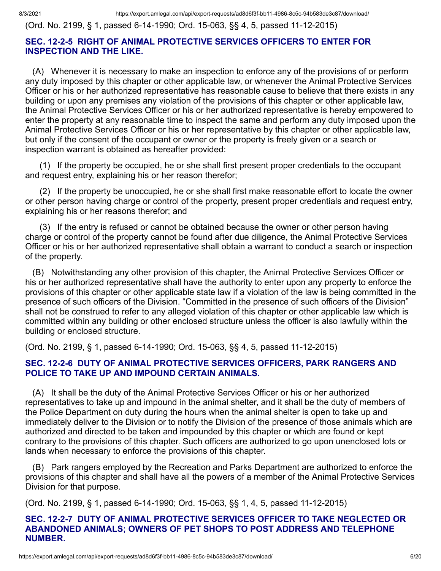(Ord. No. 2199, § 1, passed 6-14-1990; Ord. 15-063, §§ 4, 5, passed 11-12-2015)

# **SEC. 12-2-5 RIGHT OF ANIMAL PROTECTIVE SERVICES OFFICERS TO ENTER FOR INSPECTION AND THE LIKE.**

(A) Whenever it is necessary to make an inspection to enforce any of the provisions of or perform any duty imposed by this chapter or other applicable law, or whenever the Animal Protective Services Officer or his or her authorized representative has reasonable cause to believe that there exists in any building or upon any premises any violation of the provisions of this chapter or other applicable law, the Animal Protective Services Officer or his or her authorized representative is hereby empowered to enter the property at any reasonable time to inspect the same and perform any duty imposed upon the Animal Protective Services Officer or his or her representative by this chapter or other applicable law, but only if the consent of the occupant or owner or the property is freely given or a search or inspection warrant is obtained as hereafter provided:

(1) If the property be occupied, he or she shall first present proper credentials to the occupant and request entry, explaining his or her reason therefor;

(2) If the property be unoccupied, he or she shall first make reasonable effort to locate the owner or other person having charge or control of the property, present proper credentials and request entry, explaining his or her reasons therefor; and

(3) If the entry is refused or cannot be obtained because the owner or other person having charge or control of the property cannot be found after due diligence, the Animal Protective Services Officer or his or her authorized representative shall obtain a warrant to conduct a search or inspection of the property.

(B) Notwithstanding any other provision of this chapter, the Animal Protective Services Officer or his or her authorized representative shall have the authority to enter upon any property to enforce the provisions of this chapter or other applicable state law if a violation of the law is being committed in the presence of such officers of the Division. "Committed in the presence of such officers of the Division" shall not be construed to refer to any alleged violation of this chapter or other applicable law which is committed within any building or other enclosed structure unless the officer is also lawfully within the building or enclosed structure.

(Ord. No. 2199, § 1, passed 6-14-1990; Ord. 15-063, §§ 4, 5, passed 11-12-2015)

### **SEC. 12-2-6 DUTY OF ANIMAL PROTECTIVE SERVICES OFFICERS, PARK RANGERS AND POLICE TO TAKE UP AND IMPOUND CERTAIN ANIMALS.**

(A) It shall be the duty of the Animal Protective Services Officer or his or her authorized representatives to take up and impound in the animal shelter, and it shall be the duty of members of the Police Department on duty during the hours when the animal shelter is open to take up and immediately deliver to the Division or to notify the Division of the presence of those animals which are authorized and directed to be taken and impounded by this chapter or which are found or kept contrary to the provisions of this chapter. Such officers are authorized to go upon unenclosed lots or lands when necessary to enforce the provisions of this chapter.

(B) Park rangers employed by the Recreation and Parks Department are authorized to enforce the provisions of this chapter and shall have all the powers of a member of the Animal Protective Services Division for that purpose.

(Ord. No. 2199, § 1, passed 6-14-1990; Ord. 15-063, §§ 1, 4, 5, passed 11-12-2015)

#### **SEC. 12-2-7 DUTY OF ANIMAL PROTECTIVE SERVICES OFFICER TO TAKE NEGLECTED OR ABANDONED ANIMALS; OWNERS OF PET SHOPS TO POST ADDRESS AND TELEPHONE NUMBER.**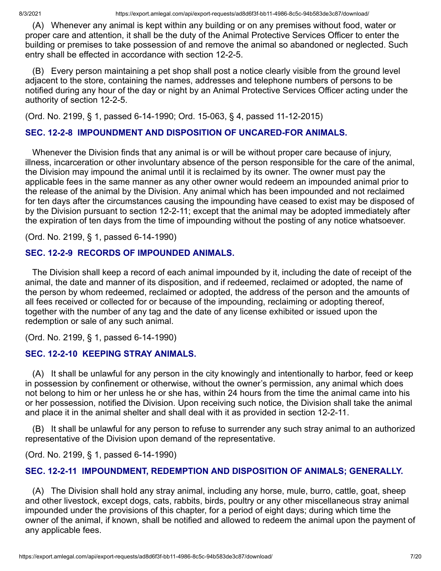(A) Whenever any animal is kept within any building or on any premises without food, water or proper care and attention, it shall be the duty of the Animal Protective Services Officer to enter the building or premises to take possession of and remove the animal so abandoned or neglected. Such entry shall be effected in accordance with section 12-2-5.

(B) Every person maintaining a pet shop shall post a notice clearly visible from the ground level adjacent to the store, containing the names, addresses and telephone numbers of persons to be notified during any hour of the day or night by an Animal Protective Services Officer acting under the authority of section 12-2-5.

(Ord. No. 2199, § 1, passed 6-14-1990; Ord. 15-063, § 4, passed 11-12-2015)

# **SEC. 12-2-8 IMPOUNDMENT AND DISPOSITION OF UNCARED-FOR ANIMALS.**

Whenever the Division finds that any animal is or will be without proper care because of injury, illness, incarceration or other involuntary absence of the person responsible for the care of the animal, the Division may impound the animal until it is reclaimed by its owner. The owner must pay the applicable fees in the same manner as any other owner would redeem an impounded animal prior to the release of the animal by the Division. Any animal which has been impounded and not reclaimed for ten days after the circumstances causing the impounding have ceased to exist may be disposed of by the Division pursuant to section 12-2-11; except that the animal may be adopted immediately after the expiration of ten days from the time of impounding without the posting of any notice whatsoever.

(Ord. No. 2199, § 1, passed 6-14-1990)

# **SEC. 12-2-9 RECORDS OF IMPOUNDED ANIMALS.**

The Division shall keep a record of each animal impounded by it, including the date of receipt of the animal, the date and manner of its disposition, and if redeemed, reclaimed or adopted, the name of the person by whom redeemed, reclaimed or adopted, the address of the person and the amounts of all fees received or collected for or because of the impounding, reclaiming or adopting thereof, together with the number of any tag and the date of any license exhibited or issued upon the redemption or sale of any such animal.

(Ord. No. 2199, § 1, passed 6-14-1990)

# **SEC. 12-2-10 KEEPING STRAY ANIMALS.**

(A) It shall be unlawful for any person in the city knowingly and intentionally to harbor, feed or keep in possession by confinement or otherwise, without the owner's permission, any animal which does not belong to him or her unless he or she has, within 24 hours from the time the animal came into his or her possession, notified the Division. Upon receiving such notice, the Division shall take the animal and place it in the animal shelter and shall deal with it as provided in section 12-2-11.

(B) It shall be unlawful for any person to refuse to surrender any such stray animal to an authorized representative of the Division upon demand of the representative.

(Ord. No. 2199, § 1, passed 6-14-1990)

# **SEC. 12-2-11 IMPOUNDMENT, REDEMPTION AND DISPOSITION OF ANIMALS; GENERALLY.**

(A) The Division shall hold any stray animal, including any horse, mule, burro, cattle, goat, sheep and other livestock, except dogs, cats, rabbits, birds, poultry or any other miscellaneous stray animal impounded under the provisions of this chapter, for a period of eight days; during which time the owner of the animal, if known, shall be notified and allowed to redeem the animal upon the payment of any applicable fees.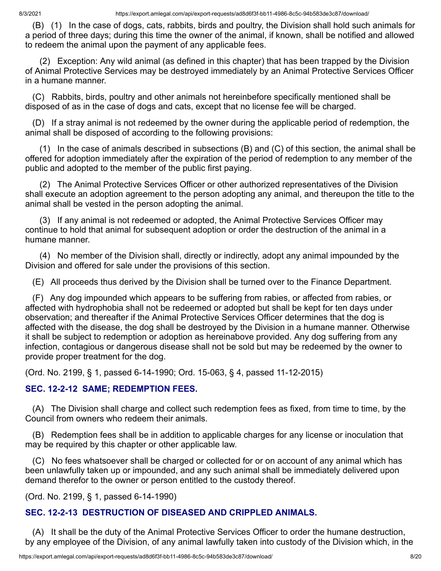(B) (1) In the case of dogs, cats, rabbits, birds and poultry, the Division shall hold such animals for a period of three days; during this time the owner of the animal, if known, shall be notified and allowed to redeem the animal upon the payment of any applicable fees.

(2) Exception: Any wild animal (as defined in this chapter) that has been trapped by the Division of Animal Protective Services may be destroyed immediately by an Animal Protective Services Officer in a humane manner.

(C) Rabbits, birds, poultry and other animals not hereinbefore specifically mentioned shall be disposed of as in the case of dogs and cats, except that no license fee will be charged.

(D) If a stray animal is not redeemed by the owner during the applicable period of redemption, the animal shall be disposed of according to the following provisions:

(1) In the case of animals described in subsections (B) and (C) of this section, the animal shall be offered for adoption immediately after the expiration of the period of redemption to any member of the public and adopted to the member of the public first paying.

(2) The Animal Protective Services Officer or other authorized representatives of the Division shall execute an adoption agreement to the person adopting any animal, and thereupon the title to the animal shall be vested in the person adopting the animal.

(3) If any animal is not redeemed or adopted, the Animal Protective Services Officer may continue to hold that animal for subsequent adoption or order the destruction of the animal in a humane manner.

(4) No member of the Division shall, directly or indirectly, adopt any animal impounded by the Division and offered for sale under the provisions of this section.

(E) All proceeds thus derived by the Division shall be turned over to the Finance Department.

(F) Any dog impounded which appears to be suffering from rabies, or affected from rabies, or affected with hydrophobia shall not be redeemed or adopted but shall be kept for ten days under observation; and thereafter if the Animal Protective Services Officer determines that the dog is affected with the disease, the dog shall be destroyed by the Division in a humane manner. Otherwise it shall be subject to redemption or adoption as hereinabove provided. Any dog suffering from any infection, contagious or dangerous disease shall not be sold but may be redeemed by the owner to provide proper treatment for the dog.

(Ord. No. 2199, § 1, passed 6-14-1990; Ord. 15-063, § 4, passed 11-12-2015)

# **SEC. 12-2-12 SAME; REDEMPTION FEES.**

(A) The Division shall charge and collect such redemption fees as fixed, from time to time, by the Council from owners who redeem their animals.

(B) Redemption fees shall be in addition to applicable charges for any license or inoculation that may be required by this chapter or other applicable law.

(C) No fees whatsoever shall be charged or collected for or on account of any animal which has been unlawfully taken up or impounded, and any such animal shall be immediately delivered upon demand therefor to the owner or person entitled to the custody thereof.

(Ord. No. 2199, § 1, passed 6-14-1990)

# **SEC. 12-2-13 DESTRUCTION OF DISEASED AND CRIPPLED ANIMALS.**

(A) It shall be the duty of the Animal Protective Services Officer to order the humane destruction, by any employee of the Division, of any animal lawfully taken into custody of the Division which, in the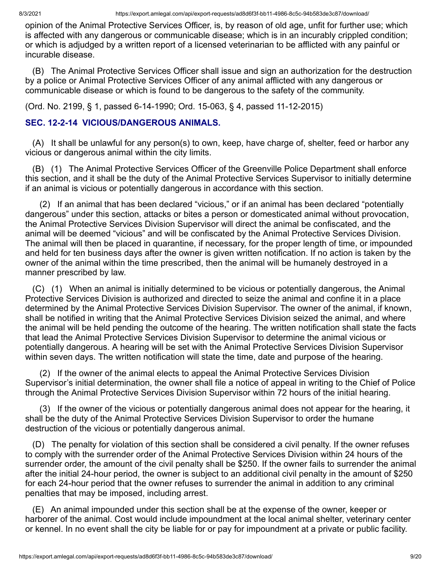opinion of the Animal Protective Services Officer, is, by reason of old age, unfit for further use; which is affected with any dangerous or communicable disease; which is in an incurably crippled condition; or which is adjudged by a written report of a licensed veterinarian to be afflicted with any painful or incurable disease.

(B) The Animal Protective Services Officer shall issue and sign an authorization for the destruction by a police or Animal Protective Services Officer of any animal afflicted with any dangerous or communicable disease or which is found to be dangerous to the safety of the community.

(Ord. No. 2199, § 1, passed 6-14-1990; Ord. 15-063, § 4, passed 11-12-2015)

# **SEC. 12-2-14 VICIOUS/DANGEROUS ANIMALS.**

(A) It shall be unlawful for any person(s) to own, keep, have charge of, shelter, feed or harbor any vicious or dangerous animal within the city limits.

(B) (1) The Animal Protective Services Officer of the Greenville Police Department shall enforce this section, and it shall be the duty of the Animal Protective Services Supervisor to initially determine if an animal is vicious or potentially dangerous in accordance with this section.

(2) If an animal that has been declared "vicious," or if an animal has been declared "potentially dangerous" under this section, attacks or bites a person or domesticated animal without provocation, the Animal Protective Services Division Supervisor will direct the animal be confiscated, and the animal will be deemed "vicious" and will be confiscated by the Animal Protective Services Division. The animal will then be placed in quarantine, if necessary, for the proper length of time, or impounded and held for ten business days after the owner is given written notification. If no action is taken by the owner of the animal within the time prescribed, then the animal will be humanely destroyed in a manner prescribed by law.

(C) (1) When an animal is initially determined to be vicious or potentially dangerous, the Animal Protective Services Division is authorized and directed to seize the animal and confine it in a place determined by the Animal Protective Services Division Supervisor. The owner of the animal, if known, shall be notified in writing that the Animal Protective Services Division seized the animal, and where the animal will be held pending the outcome of the hearing. The written notification shall state the facts that lead the Animal Protective Services Division Supervisor to determine the animal vicious or potentially dangerous. A hearing will be set with the Animal Protective Services Division Supervisor within seven days. The written notification will state the time, date and purpose of the hearing.

(2) If the owner of the animal elects to appeal the Animal Protective Services Division Supervisor's initial determination, the owner shall file a notice of appeal in writing to the Chief of Police through the Animal Protective Services Division Supervisor within 72 hours of the initial hearing.

(3) If the owner of the vicious or potentially dangerous animal does not appear for the hearing, it shall be the duty of the Animal Protective Services Division Supervisor to order the humane destruction of the vicious or potentially dangerous animal.

(D) The penalty for violation of this section shall be considered a civil penalty. If the owner refuses to comply with the surrender order of the Animal Protective Services Division within 24 hours of the surrender order, the amount of the civil penalty shall be \$250. If the owner fails to surrender the animal after the initial 24-hour period, the owner is subject to an additional civil penalty in the amount of \$250 for each 24-hour period that the owner refuses to surrender the animal in addition to any criminal penalties that may be imposed, including arrest.

(E) An animal impounded under this section shall be at the expense of the owner, keeper or harborer of the animal. Cost would include impoundment at the local animal shelter, veterinary center or kennel. In no event shall the city be liable for or pay for impoundment at a private or public facility.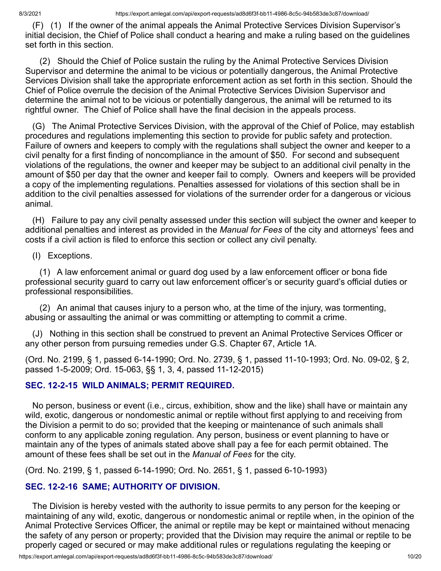(F) (1) If the owner of the animal appeals the Animal Protective Services Division Supervisor's initial decision, the Chief of Police shall conduct a hearing and make a ruling based on the guidelines set forth in this section.

(2) Should the Chief of Police sustain the ruling by the Animal Protective Services Division Supervisor and determine the animal to be vicious or potentially dangerous, the Animal Protective Services Division shall take the appropriate enforcement action as set forth in this section. Should the Chief of Police overrule the decision of the Animal Protective Services Division Supervisor and determine the animal not to be vicious or potentially dangerous, the animal will be returned to its rightful owner. The Chief of Police shall have the final decision in the appeals process.

(G) The Animal Protective Services Division, with the approval of the Chief of Police, may establish procedures and regulations implementing this section to provide for public safety and protection. Failure of owners and keepers to comply with the regulations shall subject the owner and keeper to a civil penalty for a first finding of noncompliance in the amount of \$50. For second and subsequent violations of the regulations, the owner and keeper may be subject to an additional civil penalty in the amount of \$50 per day that the owner and keeper fail to comply. Owners and keepers will be provided a copy of the implementing regulations. Penalties assessed for violations of this section shall be in addition to the civil penalties assessed for violations of the surrender order for a dangerous or vicious animal.

(H) Failure to pay any civil penalty assessed under this section will subject the owner and keeper to additional penalties and interest as provided in the *Manual for Fees* of the city and attorneys' fees and costs if a civil action is filed to enforce this section or collect any civil penalty.

(I) Exceptions.

(1) A law enforcement animal or guard dog used by a law enforcement officer or bona fide professional security guard to carry out law enforcement officer's or security guard's official duties or professional responsibilities.

(2) An animal that causes injury to a person who, at the time of the injury, was tormenting, abusing or assaulting the animal or was committing or attempting to commit a crime.

(J) Nothing in this section shall be construed to prevent an Animal Protective Services Officer or any other person from pursuing remedies under G.S. Chapter 67, Article 1A.

(Ord. No. 2199, § 1, passed 6-14-1990; Ord. No. 2739, § 1, passed 11-10-1993; Ord. No. 09-02, § 2, passed 1-5-2009; Ord. 15-063, §§ 1, 3, 4, passed 11-12-2015)

# **SEC. 12-2-15 WILD ANIMALS; PERMIT REQUIRED.**

No person, business or event (i.e., circus, exhibition, show and the like) shall have or maintain any wild, exotic, dangerous or nondomestic animal or reptile without first applying to and receiving from the Division a permit to do so; provided that the keeping or maintenance of such animals shall conform to any applicable zoning regulation. Any person, business or event planning to have or maintain any of the types of animals stated above shall pay a fee for each permit obtained. The amount of these fees shall be set out in the *Manual of Fees* for the city.

(Ord. No. 2199, § 1, passed 6-14-1990; Ord. No. 2651, § 1, passed 6-10-1993)

# **SEC. 12-2-16 SAME; AUTHORITY OF DIVISION.**

The Division is hereby vested with the authority to issue permits to any person for the keeping or maintaining of any wild, exotic, dangerous or nondomestic animal or reptile when, in the opinion of the Animal Protective Services Officer, the animal or reptile may be kept or maintained without menacing the safety of any person or property; provided that the Division may require the animal or reptile to be properly caged or secured or may make additional rules or regulations regulating the keeping or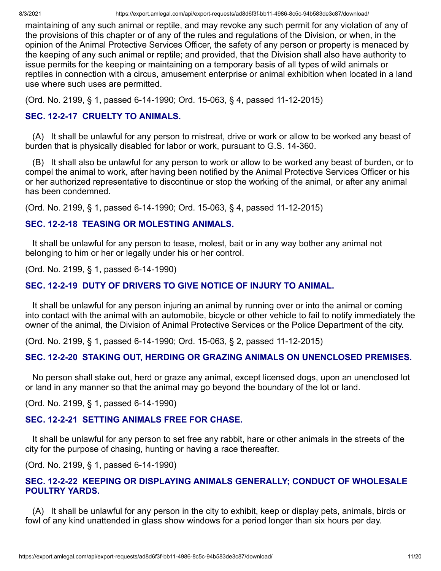maintaining of any such animal or reptile, and may revoke any such permit for any violation of any of the provisions of this chapter or of any of the rules and regulations of the Division, or when, in the opinion of the Animal Protective Services Officer, the safety of any person or property is menaced by the keeping of any such animal or reptile; and provided, that the Division shall also have authority to issue permits for the keeping or maintaining on a temporary basis of all types of wild animals or reptiles in connection with a circus, amusement enterprise or animal exhibition when located in a land use where such uses are permitted.

(Ord. No. 2199, § 1, passed 6-14-1990; Ord. 15-063, § 4, passed 11-12-2015)

# **SEC. 12-2-17 CRUELTY TO ANIMALS.**

(A) It shall be unlawful for any person to mistreat, drive or work or allow to be worked any beast of burden that is physically disabled for labor or work, pursuant to G.S. 14-360.

(B) It shall also be unlawful for any person to work or allow to be worked any beast of burden, or to compel the animal to work, after having been notified by the Animal Protective Services Officer or his or her authorized representative to discontinue or stop the working of the animal, or after any animal has been condemned.

(Ord. No. 2199, § 1, passed 6-14-1990; Ord. 15-063, § 4, passed 11-12-2015)

### **SEC. 12-2-18 TEASING OR MOLESTING ANIMALS.**

It shall be unlawful for any person to tease, molest, bait or in any way bother any animal not belonging to him or her or legally under his or her control.

(Ord. No. 2199, § 1, passed 6-14-1990)

# **SEC. 12-2-19 DUTY OF DRIVERS TO GIVE NOTICE OF INJURY TO ANIMAL.**

It shall be unlawful for any person injuring an animal by running over or into the animal or coming into contact with the animal with an automobile, bicycle or other vehicle to fail to notify immediately the owner of the animal, the Division of Animal Protective Services or the Police Department of the city.

(Ord. No. 2199, § 1, passed 6-14-1990; Ord. 15-063, § 2, passed 11-12-2015)

# **SEC. 12-2-20 STAKING OUT, HERDING OR GRAZING ANIMALS ON UNENCLOSED PREMISES.**

No person shall stake out, herd or graze any animal, except licensed dogs, upon an unenclosed lot or land in any manner so that the animal may go beyond the boundary of the lot or land.

(Ord. No. 2199, § 1, passed 6-14-1990)

# **SEC. 12-2-21 SETTING ANIMALS FREE FOR CHASE.**

It shall be unlawful for any person to set free any rabbit, hare or other animals in the streets of the city for the purpose of chasing, hunting or having a race thereafter.

(Ord. No. 2199, § 1, passed 6-14-1990)

# **SEC. 12-2-22 KEEPING OR DISPLAYING ANIMALS GENERALLY; CONDUCT OF WHOLESALE POULTRY YARDS.**

(A) It shall be unlawful for any person in the city to exhibit, keep or display pets, animals, birds or fowl of any kind unattended in glass show windows for a period longer than six hours per day.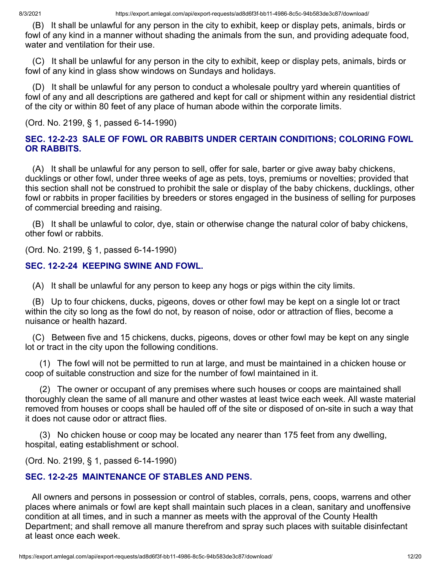(B) It shall be unlawful for any person in the city to exhibit, keep or display pets, animals, birds or fowl of any kind in a manner without shading the animals from the sun, and providing adequate food, water and ventilation for their use.

(C) It shall be unlawful for any person in the city to exhibit, keep or display pets, animals, birds or fowl of any kind in glass show windows on Sundays and holidays.

(D) It shall be unlawful for any person to conduct a wholesale poultry yard wherein quantities of fowl of any and all descriptions are gathered and kept for call or shipment within any residential district of the city or within 80 feet of any place of human abode within the corporate limits.

(Ord. No. 2199, § 1, passed 6-14-1990)

## **SEC. 12-2-23 SALE OF FOWL OR RABBITS UNDER CERTAIN CONDITIONS; COLORING FOWL OR RABBITS.**

(A) It shall be unlawful for any person to sell, offer for sale, barter or give away baby chickens, ducklings or other fowl, under three weeks of age as pets, toys, premiums or novelties; provided that this section shall not be construed to prohibit the sale or display of the baby chickens, ducklings, other fowl or rabbits in proper facilities by breeders or stores engaged in the business of selling for purposes of commercial breeding and raising.

(B) It shall be unlawful to color, dye, stain or otherwise change the natural color of baby chickens, other fowl or rabbits.

(Ord. No. 2199, § 1, passed 6-14-1990)

### **SEC. 12-2-24 KEEPING SWINE AND FOWL.**

(A) It shall be unlawful for any person to keep any hogs or pigs within the city limits.

(B) Up to four chickens, ducks, pigeons, doves or other fowl may be kept on a single lot or tract within the city so long as the fowl do not, by reason of noise, odor or attraction of flies, become a nuisance or health hazard.

(C) Between five and 15 chickens, ducks, pigeons, doves or other fowl may be kept on any single lot or tract in the city upon the following conditions.

(1) The fowl will not be permitted to run at large, and must be maintained in a chicken house or coop of suitable construction and size for the number of fowl maintained in it.

(2) The owner or occupant of any premises where such houses or coops are maintained shall thoroughly clean the same of all manure and other wastes at least twice each week. All waste material removed from houses or coops shall be hauled off of the site or disposed of on-site in such a way that it does not cause odor or attract flies.

(3) No chicken house or coop may be located any nearer than 175 feet from any dwelling, hospital, eating establishment or school.

(Ord. No. 2199, § 1, passed 6-14-1990)

# **SEC. 12-2-25 MAINTENANCE OF STABLES AND PENS.**

All owners and persons in possession or control of stables, corrals, pens, coops, warrens and other places where animals or fowl are kept shall maintain such places in a clean, sanitary and unoffensive condition at all times, and in such a manner as meets with the approval of the County Health Department; and shall remove all manure therefrom and spray such places with suitable disinfectant at least once each week.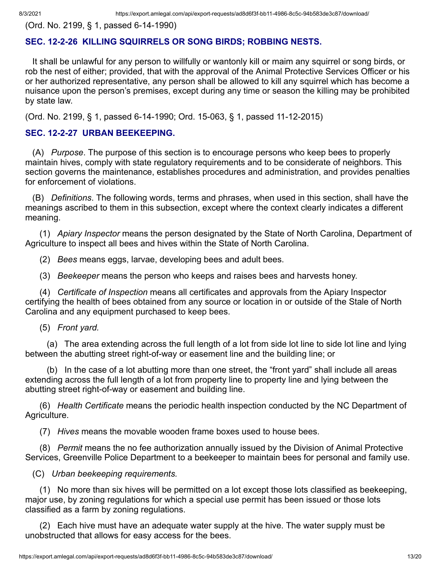(Ord. No. 2199, § 1, passed 6-14-1990)

# **SEC. 12-2-26 KILLING SQUIRRELS OR SONG BIRDS; ROBBING NESTS.**

It shall be unlawful for any person to willfully or wantonly kill or maim any squirrel or song birds, or rob the nest of either; provided, that with the approval of the Animal Protective Services Officer or his or her authorized representative, any person shall be allowed to kill any squirrel which has become a nuisance upon the person's premises, except during any time or season the killing may be prohibited by state law.

(Ord. No. 2199, § 1, passed 6-14-1990; Ord. 15-063, § 1, passed 11-12-2015)

### **SEC. 12-2-27 URBAN BEEKEEPING.**

(A) *Purpose*. The purpose of this section is to encourage persons who keep bees to properly maintain hives, comply with state regulatory requirements and to be considerate of neighbors. This section governs the maintenance, establishes procedures and administration, and provides penalties for enforcement of violations.

(B) *Definitions*. The following words, terms and phrases, when used in this section, shall have the meanings ascribed to them in this subsection, except where the context clearly indicates a different meaning.

(1) *Apiary Inspector* means the person designated by the State of North Carolina, Department of Agriculture to inspect all bees and hives within the State of North Carolina.

(2) *Bees* means eggs, larvae, developing bees and adult bees.

(3) *Beekeeper* means the person who keeps and raises bees and harvests honey.

(4) *Certificate of Inspection* means all certificates and approvals from the Apiary Inspector certifying the health of bees obtained from any source or location in or outside of the Stale of North Carolina and any equipment purchased to keep bees.

(5) *Front yard.*

(a) The area extending across the full length of a lot from side lot line to side lot line and lying between the abutting street right-of-way or easement line and the building line; or

(b) In the case of a lot abutting more than one street, the "front yard" shall include all areas extending across the full length of a lot from property line to property line and lying between the abutting street right-of-way or easement and building line.

(6) *Health Certificate* means the periodic health inspection conducted by the NC Department of Agriculture.

(7) *Hives* means the movable wooden frame boxes used to house bees.

(8) *Permit* means the no fee authorization annually issued by the Division of Animal Protective Services, Greenville Police Department to a beekeeper to maintain bees for personal and family use.

(C) *Urban beekeeping requirements.*

(1) No more than six hives will be permitted on a lot except those lots classified as beekeeping, major use, by zoning regulations for which a special use permit has been issued or those lots classified as a farm by zoning regulations.

(2) Each hive must have an adequate water supply at the hive. The water supply must be unobstructed that allows for easy access for the bees.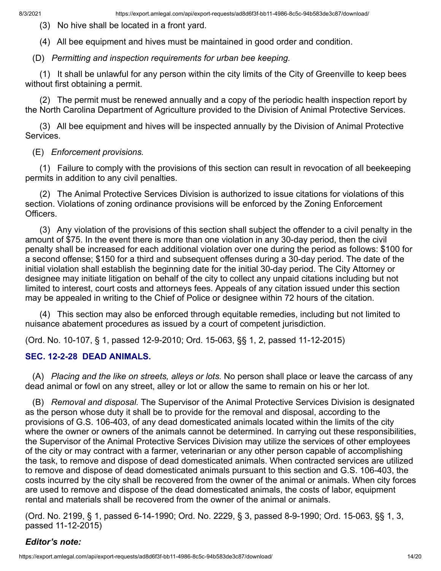(3) No hive shall be located in a front yard.

(4) All bee equipment and hives must be maintained in good order and condition.

(D) *Permitting and inspection requirements for urban bee keeping.*

(1) It shall be unlawful for any person within the city limits of the City of Greenville to keep bees without first obtaining a permit.

(2) The permit must be renewed annually and a copy of the periodic health inspection report by the North Carolina Department of Agriculture provided to the Division of Animal Protective Services.

(3) All bee equipment and hives will be inspected annually by the Division of Animal Protective Services.

#### (E) *Enforcement provisions.*

(1) Failure to comply with the provisions of this section can result in revocation of all beekeeping permits in addition to any civil penalties.

(2) The Animal Protective Services Division is authorized to issue citations for violations of this section. Violations of zoning ordinance provisions will be enforced by the Zoning Enforcement Officers.

(3) Any violation of the provisions of this section shall subject the offender to a civil penalty in the amount of \$75. In the event there is more than one violation in any 30-day period, then the civil penalty shall be increased for each additional violation over one during the period as follows: \$100 for a second offense; \$150 for a third and subsequent offenses during a 30-day period. The date of the initial violation shall establish the beginning date for the initial 30-day period. The City Attorney or designee may initiate litigation on behalf of the city to collect any unpaid citations including but not limited to interest, court costs and attorneys fees. Appeals of any citation issued under this section may be appealed in writing to the Chief of Police or designee within 72 hours of the citation.

(4) This section may also be enforced through equitable remedies, including but not limited to nuisance abatement procedures as issued by a court of competent jurisdiction.

(Ord. No. 10-107, § 1, passed 12-9-2010; Ord. 15-063, §§ 1, 2, passed 11-12-2015)

#### **SEC. 12-2-28 DEAD ANIMALS.**

(A) *Placing and the like on streets, alleys or lots.* No person shall place or leave the carcass of any dead animal or fowl on any street, alley or lot or allow the same to remain on his or her lot.

(B) *Removal and disposal.* The Supervisor of the Animal Protective Services Division is designated as the person whose duty it shall be to provide for the removal and disposal, according to the provisions of G.S. 106-403, of any dead domesticated animals located within the limits of the city where the owner or owners of the animals cannot be determined. In carrying out these responsibilities, the Supervisor of the Animal Protective Services Division may utilize the services of other employees of the city or may contract with a farmer, veterinarian or any other person capable of accomplishing the task, to remove and dispose of dead domesticated animals. When contracted services are utilized to remove and dispose of dead domesticated animals pursuant to this section and G.S. 106-403, the costs incurred by the city shall be recovered from the owner of the animal or animals. When city forces are used to remove and dispose of the dead domesticated animals, the costs of labor, equipment rental and materials shall be recovered from the owner of the animal or animals.

(Ord. No. 2199, § 1, passed 6-14-1990; Ord. No. 2229, § 3, passed 8-9-1990; Ord. 15-063, §§ 1, 3, passed 11-12-2015)

#### *Editor's note:*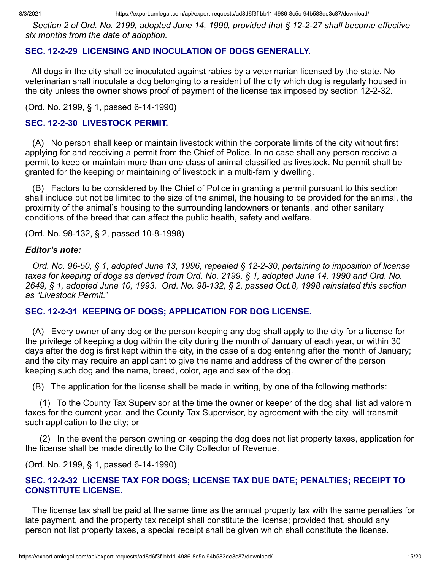*Section 2 of Ord. No. 2199, adopted June 14, 1990, provided that § 12-2-27 shall become effective six months from the date of adoption.*

# **SEC. 12-2-29 LICENSING AND INOCULATION OF DOGS GENERALLY.**

All dogs in the city shall be inoculated against rabies by a veterinarian licensed by the state. No veterinarian shall inoculate a dog belonging to a resident of the city which dog is regularly housed in the city unless the owner shows proof of payment of the license tax imposed by section 12-2-32.

(Ord. No. 2199, § 1, passed 6-14-1990)

### **SEC. 12-2-30 LIVESTOCK PERMIT.**

(A) No person shall keep or maintain livestock within the corporate limits of the city without first applying for and receiving a permit from the Chief of Police. In no case shall any person receive a permit to keep or maintain more than one class of animal classified as livestock. No permit shall be granted for the keeping or maintaining of livestock in a multi-family dwelling.

(B) Factors to be considered by the Chief of Police in granting a permit pursuant to this section shall include but not be limited to the size of the animal, the housing to be provided for the animal, the proximity of the animal's housing to the surrounding landowners or tenants, and other sanitary conditions of the breed that can affect the public health, safety and welfare.

(Ord. No. 98-132, § 2, passed 10-8-1998)

#### *Editor's note:*

*Ord. No. 96-50, § 1, adopted June 13, 1996, repealed § 12-2-30, pertaining to imposition of license taxes for keeping of dogs as derived from Ord. No. 2199, § 1, adopted June 14, 1990 and Ord. No. 2649, § 1, adopted June 10, 1993. Ord. No. 98-132, § 2, passed Oct.8, 1998 reinstated this section as "Livestock Permit.*"

#### **SEC. 12-2-31 KEEPING OF DOGS; APPLICATION FOR DOG LICENSE.**

(A) Every owner of any dog or the person keeping any dog shall apply to the city for a license for the privilege of keeping a dog within the city during the month of January of each year, or within 30 days after the dog is first kept within the city, in the case of a dog entering after the month of January; and the city may require an applicant to give the name and address of the owner of the person keeping such dog and the name, breed, color, age and sex of the dog.

(B) The application for the license shall be made in writing, by one of the following methods:

(1) To the County Tax Supervisor at the time the owner or keeper of the dog shall list ad valorem taxes for the current year, and the County Tax Supervisor, by agreement with the city, will transmit such application to the city; or

(2) In the event the person owning or keeping the dog does not list property taxes, application for the license shall be made directly to the City Collector of Revenue.

(Ord. No. 2199, § 1, passed 6-14-1990)

### **SEC. 12-2-32 LICENSE TAX FOR DOGS; LICENSE TAX DUE DATE; PENALTIES; RECEIPT TO CONSTITUTE LICENSE.**

The license tax shall be paid at the same time as the annual property tax with the same penalties for late payment, and the property tax receipt shall constitute the license; provided that, should any person not list property taxes, a special receipt shall be given which shall constitute the license.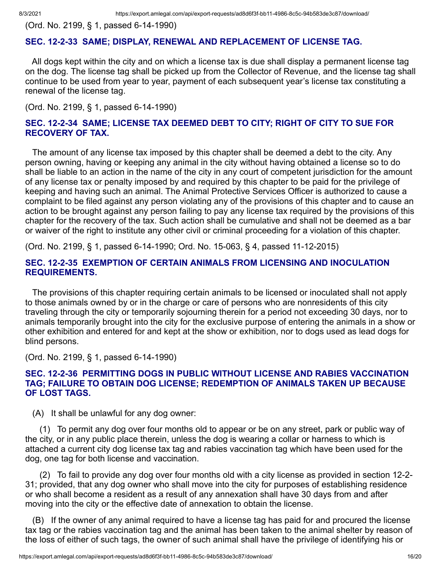(Ord. No. 2199, § 1, passed 6-14-1990)

#### **SEC. 12-2-33 SAME; DISPLAY, RENEWAL AND REPLACEMENT OF LICENSE TAG.**

All dogs kept within the city and on which a license tax is due shall display a permanent license tag on the dog. The license tag shall be picked up from the Collector of Revenue, and the license tag shall continue to be used from year to year, payment of each subsequent year's license tax constituting a renewal of the license tag.

(Ord. No. 2199, § 1, passed 6-14-1990)

#### **SEC. 12-2-34 SAME; LICENSE TAX DEEMED DEBT TO CITY; RIGHT OF CITY TO SUE FOR RECOVERY OF TAX.**

The amount of any license tax imposed by this chapter shall be deemed a debt to the city. Any person owning, having or keeping any animal in the city without having obtained a license so to do shall be liable to an action in the name of the city in any court of competent jurisdiction for the amount of any license tax or penalty imposed by and required by this chapter to be paid for the privilege of keeping and having such an animal. The Animal Protective Services Officer is authorized to cause a complaint to be filed against any person violating any of the provisions of this chapter and to cause an action to be brought against any person failing to pay any license tax required by the provisions of this chapter for the recovery of the tax. Such action shall be cumulative and shall not be deemed as a bar or waiver of the right to institute any other civil or criminal proceeding for a violation of this chapter.

(Ord. No. 2199, § 1, passed 6-14-1990; Ord. No. 15-063, § 4, passed 11-12-2015)

#### **SEC. 12-2-35 EXEMPTION OF CERTAIN ANIMALS FROM LICENSING AND INOCULATION REQUIREMENTS.**

The provisions of this chapter requiring certain animals to be licensed or inoculated shall not apply to those animals owned by or in the charge or care of persons who are nonresidents of this city traveling through the city or temporarily sojourning therein for a period not exceeding 30 days, nor to animals temporarily brought into the city for the exclusive purpose of entering the animals in a show or other exhibition and entered for and kept at the show or exhibition, nor to dogs used as lead dogs for blind persons.

(Ord. No. 2199, § 1, passed 6-14-1990)

#### **SEC. 12-2-36 PERMITTING DOGS IN PUBLIC WITHOUT LICENSE AND RABIES VACCINATION TAG; FAILURE TO OBTAIN DOG LICENSE; REDEMPTION OF ANIMALS TAKEN UP BECAUSE OF LOST TAGS.**

(A) It shall be unlawful for any dog owner:

(1) To permit any dog over four months old to appear or be on any street, park or public way of the city, or in any public place therein, unless the dog is wearing a collar or harness to which is attached a current city dog license tax tag and rabies vaccination tag which have been used for the dog, one tag for both license and vaccination.

(2) To fail to provide any dog over four months old with a city license as provided in section 12-2- 31; provided, that any dog owner who shall move into the city for purposes of establishing residence or who shall become a resident as a result of any annexation shall have 30 days from and after moving into the city or the effective date of annexation to obtain the license.

(B) If the owner of any animal required to have a license tag has paid for and procured the license tax tag or the rabies vaccination tag and the animal has been taken to the animal shelter by reason of the loss of either of such tags, the owner of such animal shall have the privilege of identifying his or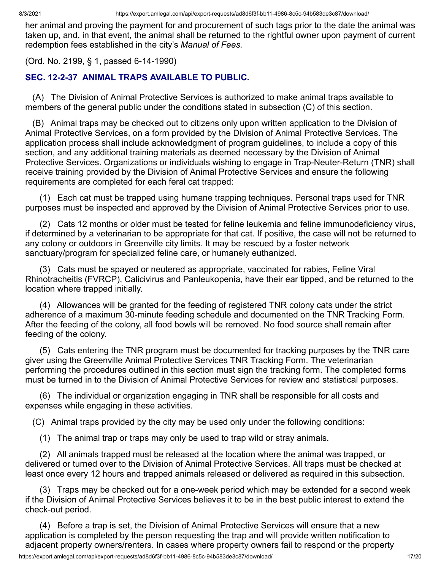her animal and proving the payment for and procurement of such tags prior to the date the animal was taken up, and, in that event, the animal shall be returned to the rightful owner upon payment of current redemption fees established in the city's *Manual of Fees.*

(Ord. No. 2199, § 1, passed 6-14-1990)

# **SEC. 12-2-37 ANIMAL TRAPS AVAILABLE TO PUBLIC.**

(A) The Division of Animal Protective Services is authorized to make animal traps available to members of the general public under the conditions stated in subsection (C) of this section.

(B) Animal traps may be checked out to citizens only upon written application to the Division of Animal Protective Services, on a form provided by the Division of Animal Protective Services. The application process shall include acknowledgment of program guidelines, to include a copy of this section, and any additional training materials as deemed necessary by the Division of Animal Protective Services. Organizations or individuals wishing to engage in Trap-Neuter-Return (TNR) shall receive training provided by the Division of Animal Protective Services and ensure the following requirements are completed for each feral cat trapped:

(1) Each cat must be trapped using humane trapping techniques. Personal traps used for TNR purposes must be inspected and approved by the Division of Animal Protective Services prior to use.

(2) Cats 12 months or older must be tested for feline leukemia and feline immunodeficiency virus, if determined by a veterinarian to be appropriate for that cat. If positive, the case will not be returned to any colony or outdoors in Greenville city limits. It may be rescued by a foster network sanctuary/program for specialized feline care, or humanely euthanized.

(3) Cats must be spayed or neutered as appropriate, vaccinated for rabies, Feline Viral Rhinotracheitis (FVRCP), Calicivirus and Panleukopenia, have their ear tipped, and be returned to the location where trapped initially.

(4) Allowances will be granted for the feeding of registered TNR colony cats under the strict adherence of a maximum 30-minute feeding schedule and documented on the TNR Tracking Form. After the feeding of the colony, all food bowls will be removed. No food source shall remain after feeding of the colony.

(5) Cats entering the TNR program must be documented for tracking purposes by the TNR care giver using the Greenville Animal Protective Services TNR Tracking Form. The veterinarian performing the procedures outlined in this section must sign the tracking form. The completed forms must be turned in to the Division of Animal Protective Services for review and statistical purposes.

(6) The individual or organization engaging in TNR shall be responsible for all costs and expenses while engaging in these activities.

(C) Animal traps provided by the city may be used only under the following conditions:

(1) The animal trap or traps may only be used to trap wild or stray animals.

(2) All animals trapped must be released at the location where the animal was trapped, or delivered or turned over to the Division of Animal Protective Services. All traps must be checked at least once every 12 hours and trapped animals released or delivered as required in this subsection.

(3) Traps may be checked out for a one-week period which may be extended for a second week if the Division of Animal Protective Services believes it to be in the best public interest to extend the check-out period.

(4) Before a trap is set, the Division of Animal Protective Services will ensure that a new application is completed by the person requesting the trap and will provide written notification to adjacent property owners/renters. In cases where property owners fail to respond or the property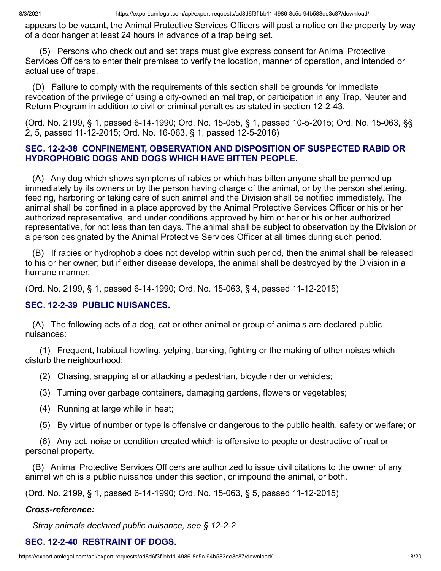appears to be vacant, the Animal Protective Services Officers will post a notice on the property by way of a door hanger at least 24 hours in advance of a trap being set.

(5) Persons who check out and set traps must give express consent for Animal Protective Services Officers to enter their premises to verify the location, manner of operation, and intended or actual use of traps.

(D) Failure to comply with the requirements of this section shall be grounds for immediate revocation of the privilege of using a city-owned animal trap, or participation in any Trap, Neuter and Return Program in addition to civil or criminal penalties as stated in section 12-2-43.

(Ord. No. 2199, § 1, passed 6-14-1990; Ord. No. 15-055, § 1, passed 10-5-2015; Ord. No. 15-063, §§ 2, 5, passed 11-12-2015; Ord. No. 16-063, § 1, passed 12-5-2016)

#### **SEC. 12-2-38 CONFINEMENT, OBSERVATION AND DISPOSITION OF SUSPECTED RABID OR HYDROPHOBIC DOGS AND DOGS WHICH HAVE BITTEN PEOPLE.**

(A) Any dog which shows symptoms of rabies or which has bitten anyone shall be penned up immediately by its owners or by the person having charge of the animal, or by the person sheltering, feeding, harboring or taking care of such animal and the Division shall be notified immediately. The animal shall be confined in a place approved by the Animal Protective Services Officer or his or her authorized representative, and under conditions approved by him or her or his or her authorized representative, for not less than ten days. The animal shall be subject to observation by the Division or a person designated by the Animal Protective Services Officer at all times during such period.

(B) If rabies or hydrophobia does not develop within such period, then the animal shall be released to his or her owner; but if either disease develops, the animal shall be destroyed by the Division in a humane manner.

(Ord. No. 2199, § 1, passed 6-14-1990; Ord. No. 15-063, § 4, passed 11-12-2015)

#### **SEC. 12-2-39 PUBLIC NUISANCES.**

(A) The following acts of a dog, cat or other animal or group of animals are declared public nuisances:

(1) Frequent, habitual howling, yelping, barking, fighting or the making of other noises which disturb the neighborhood;

- (2) Chasing, snapping at or attacking a pedestrian, bicycle rider or vehicles;
- (3) Turning over garbage containers, damaging gardens, flowers or vegetables;
- (4) Running at large while in heat;
- (5) By virtue of number or type is offensive or dangerous to the public health, safety or welfare; or

(6) Any act, noise or condition created which is offensive to people or destructive of real or personal property.

(B) Animal Protective Services Officers are authorized to issue civil citations to the owner of any animal which is a public nuisance under this section, or impound the animal, or both.

(Ord. No. 2199, § 1, passed 6-14-1990; Ord. No. 15-063, § 5, passed 11-12-2015)

#### *Cross-reference:*

*Stray animals declared public nuisance, see § 12-2-2*

#### **SEC. 12-2-40 RESTRAINT OF DOGS.**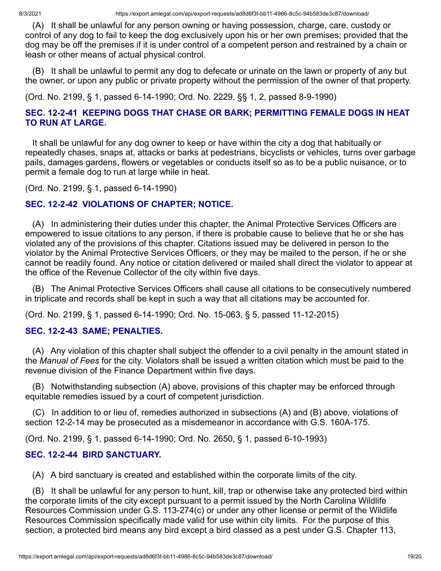(A) It shall be unlawful for any person owning or having possession, charge, care, custody or control of any dog to fail to keep the dog exclusively upon his or her own premises; provided that the dog may be off the premises if it is under control of a competent person and restrained by a chain or leash or other means of actual physical control.

(B) It shall be unlawful to permit any dog to defecate or urinate on the lawn or property of any but the owner, or upon any public or private property without the permission of the owner of that property.

(Ord. No. 2199, § 1, passed 6-14-1990; Ord. No. 2229, §§ 1, 2, passed 8-9-1990)

### **SEC. 12-2-41 KEEPING DOGS THAT CHASE OR BARK; PERMITTING FEMALE DOGS IN HEAT TO RUN AT LARGE.**

It shall be unlawful for any dog owner to keep or have within the city a dog that habitually or repeatedly chases, snaps at, attacks or barks at pedestrians, bicyclists or vehicles, turns over garbage pails, damages gardens, flowers or vegetables or conducts itself so as to be a public nuisance, or to permit a female dog to run at large while in heat.

(Ord. No. 2199, § 1, passed 6-14-1990)

### **SEC. 12-2-42 VIOLATIONS OF CHAPTER; NOTICE.**

(A) In administering their duties under this chapter, the Animal Protective Services Officers are empowered to issue citations to any person, if there is probable cause to believe that he or she has violated any of the provisions of this chapter. Citations issued may be delivered in person to the violator by the Animal Protective Services Officers, or they may be mailed to the person, if he or she cannot be readily found. Any notice or citation delivered or mailed shall direct the violator to appear at the office of the Revenue Collector of the city within five days.

(B) The Animal Protective Services Officers shall cause all citations to be consecutively numbered in triplicate and records shall be kept in such a way that all citations may be accounted for.

(Ord. No. 2199, § 1, passed 6-14-1990; Ord. No. 15-063, § 5, passed 11-12-2015)

#### **SEC. 12-2-43 SAME; PENALTIES.**

(A) Any violation of this chapter shall subject the offender to a civil penalty in the amount stated in the *Manual of Fees* for the city. Violators shall be issued a written citation which must be paid to the revenue division of the Finance Department within five days.

(B) Notwithstanding subsection (A) above, provisions of this chapter may be enforced through equitable remedies issued by a court of competent jurisdiction.

(C) In addition to or lieu of, remedies authorized in subsections (A) and (B) above, violations of section 12-2-14 may be prosecuted as a misdemeanor in accordance with G.S. 160A-175.

(Ord. No. 2199, § 1, passed 6-14-1990; Ord. No. 2650, § 1, passed 6-10-1993)

#### **SEC. 12-2-44 BIRD SANCTUARY.**

(A) A bird sanctuary is created and established within the corporate limits of the city.

(B) It shall be unlawful for any person to hunt, kill, trap or otherwise take any protected bird within the corporate limits of the city except pursuant to a permit issued by the North Carolina Wildlife Resources Commission under G.S. 113-274(c) or under any other license or permit of the Wildlife Resources Commission specifically made valid for use within city limits. For the purpose of this section, a protected bird means any bird except a bird classed as a pest under G.S. Chapter 113,